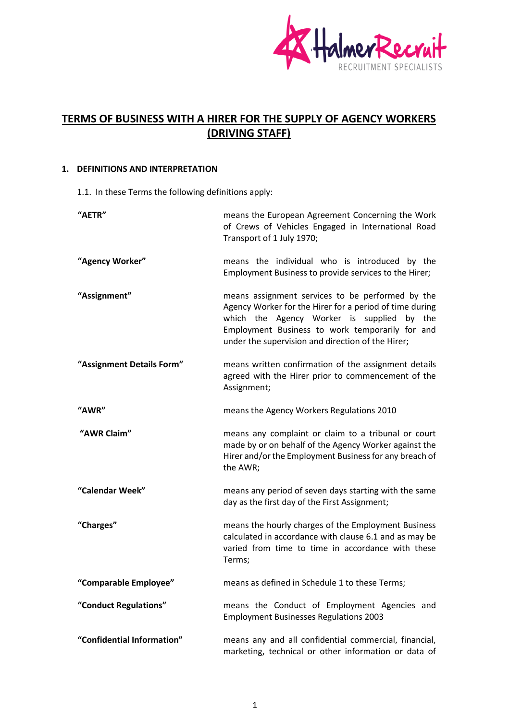

# **TERMS OF BUSINESS WITH A HIRER FOR THE SUPPLY OF AGENCY WORKERS (DRIVING STAFF)**

# **1. DEFINITIONS AND INTERPRETATION**

1.1. In these Terms the following definitions apply:

| "AETR"                     | means the European Agreement Concerning the Work<br>of Crews of Vehicles Engaged in International Road<br>Transport of 1 July 1970;                                                                                                                                  |
|----------------------------|----------------------------------------------------------------------------------------------------------------------------------------------------------------------------------------------------------------------------------------------------------------------|
| "Agency Worker"            | means the individual who is introduced by the<br>Employment Business to provide services to the Hirer;                                                                                                                                                               |
| "Assignment"               | means assignment services to be performed by the<br>Agency Worker for the Hirer for a period of time during<br>which the Agency Worker is supplied<br>by the<br>Employment Business to work temporarily for and<br>under the supervision and direction of the Hirer; |
| "Assignment Details Form"  | means written confirmation of the assignment details<br>agreed with the Hirer prior to commencement of the<br>Assignment;                                                                                                                                            |
| "AWR"                      | means the Agency Workers Regulations 2010                                                                                                                                                                                                                            |
| "AWR Claim"                | means any complaint or claim to a tribunal or court<br>made by or on behalf of the Agency Worker against the<br>Hirer and/or the Employment Business for any breach of<br>the AWR;                                                                                   |
| "Calendar Week"            | means any period of seven days starting with the same<br>day as the first day of the First Assignment;                                                                                                                                                               |
| "Charges"                  | means the hourly charges of the Employment Business<br>calculated in accordance with clause 6.1 and as may be<br>varied from time to time in accordance with these<br>Terms;                                                                                         |
| "Comparable Employee"      | means as defined in Schedule 1 to these Terms;                                                                                                                                                                                                                       |
| "Conduct Regulations"      | means the Conduct of Employment Agencies and<br><b>Employment Businesses Regulations 2003</b>                                                                                                                                                                        |
| "Confidential Information" | means any and all confidential commercial, financial,<br>marketing, technical or other information or data of                                                                                                                                                        |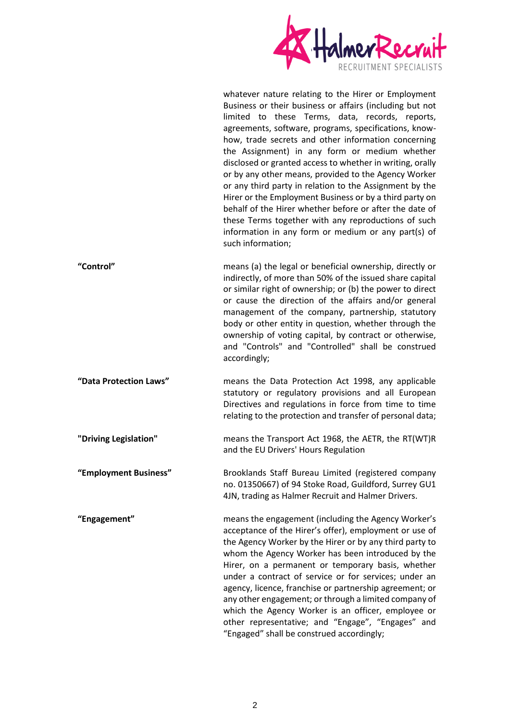

whatever nature relating to the Hirer or Employment Business or their business or affairs (including but not limited to these Terms, data, records, reports, agreements, software, programs, specifications, knowhow, trade secrets and other information concerning the Assignment) in any form or medium whether disclosed or granted access to whether in writing, orally or by any other means, provided to the Agency Worker or any third party in relation to the Assignment by the Hirer or the Employment Business or by a third party on behalf of the Hirer whether before or after the date of these Terms together with any reproductions of such information in any form or medium or any part(s) of such information;

**"Control"** means (a) the legal or beneficial ownership, directly or indirectly, of more than 50% of the issued share capital or similar right of ownership; or (b) the power to direct or cause the direction of the affairs and/or general management of the company, partnership, statutory body or other entity in question, whether through the ownership of voting capital, by contract or otherwise, and "Controls" and "Controlled" shall be construed accordingly;

**"Data Protection Laws"** means the Data Protection Act 1998, any applicable statutory or regulatory provisions and all European Directives and regulations in force from time to time relating to the protection and transfer of personal data;

**"Driving Legislation"** means the Transport Act 1968, the AETR, the RT(WT)R and the EU Drivers' Hours Regulation

**"Employment Business"** Brooklands Staff Bureau Limited (registered company no. 01350667) of 94 Stoke Road, Guildford, Surrey GU1 4JN, trading as Halmer Recruit and Halmer Drivers.

**"Engagement"** means the engagement (including the Agency Worker's acceptance of the Hirer's offer), employment or use of the Agency Worker by the Hirer or by any third party to whom the Agency Worker has been introduced by the Hirer, on a permanent or temporary basis, whether under a contract of service or for services; under an agency, licence, franchise or partnership agreement; or any other engagement; or through a limited company of which the Agency Worker is an officer, employee or other representative; and "Engage", "Engages" and "Engaged" shall be construed accordingly;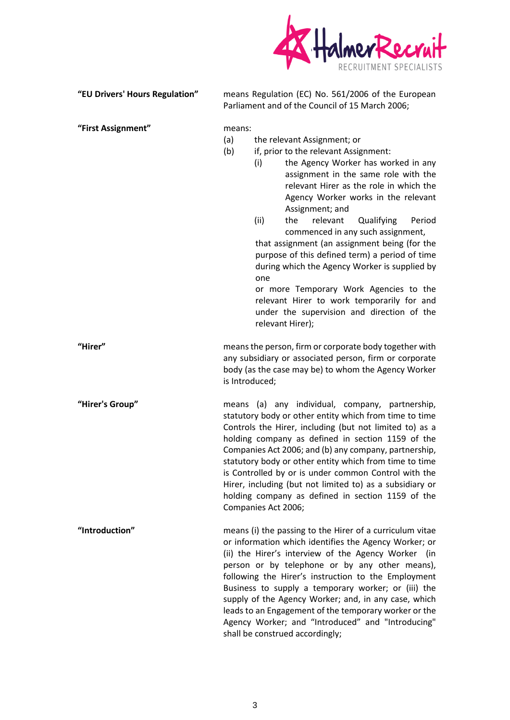

| "EU Drivers' Hours Regulation" | means Regulation (EC) No. 561/2006 of the European<br>Parliament and of the Council of 15 March 2006;                                                                                                                                                                                                                                                                                                                                                                                                                                                                                                                                                                                                |
|--------------------------------|------------------------------------------------------------------------------------------------------------------------------------------------------------------------------------------------------------------------------------------------------------------------------------------------------------------------------------------------------------------------------------------------------------------------------------------------------------------------------------------------------------------------------------------------------------------------------------------------------------------------------------------------------------------------------------------------------|
| "First Assignment"             | means:<br>(a)<br>the relevant Assignment; or<br>(b)<br>if, prior to the relevant Assignment:<br>the Agency Worker has worked in any<br>(i)<br>assignment in the same role with the<br>relevant Hirer as the role in which the<br>Agency Worker works in the relevant<br>Assignment; and<br>(ii)<br>relevant<br>Qualifying<br>the<br>Period<br>commenced in any such assignment,<br>that assignment (an assignment being (for the<br>purpose of this defined term) a period of time<br>during which the Agency Worker is supplied by<br>one<br>or more Temporary Work Agencies to the<br>relevant Hirer to work temporarily for and<br>under the supervision and direction of the<br>relevant Hirer); |
| "Hirer"                        | means the person, firm or corporate body together with<br>any subsidiary or associated person, firm or corporate<br>body (as the case may be) to whom the Agency Worker<br>is Introduced;                                                                                                                                                                                                                                                                                                                                                                                                                                                                                                            |
| "Hirer's Group"                | means (a) any individual, company, partnership,<br>statutory body or other entity which from time to time<br>Controls the Hirer, including (but not limited to) as a<br>holding company as defined in section 1159 of the<br>Companies Act 2006; and (b) any company, partnership,<br>statutory body or other entity which from time to time<br>is Controlled by or is under common Control with the<br>Hirer, including (but not limited to) as a subsidiary or<br>holding company as defined in section 1159 of the<br>Companies Act 2006;                                                                                                                                                         |
| "Introduction"                 | means (i) the passing to the Hirer of a curriculum vitae<br>or information which identifies the Agency Worker; or<br>(ii) the Hirer's interview of the Agency Worker (in<br>person or by telephone or by any other means),<br>following the Hirer's instruction to the Employment<br>Business to supply a temporary worker; or (iii) the<br>supply of the Agency Worker; and, in any case, which<br>leads to an Engagement of the temporary worker or the<br>Agency Worker; and "Introduced" and "Introducing"<br>shall be construed accordingly;                                                                                                                                                    |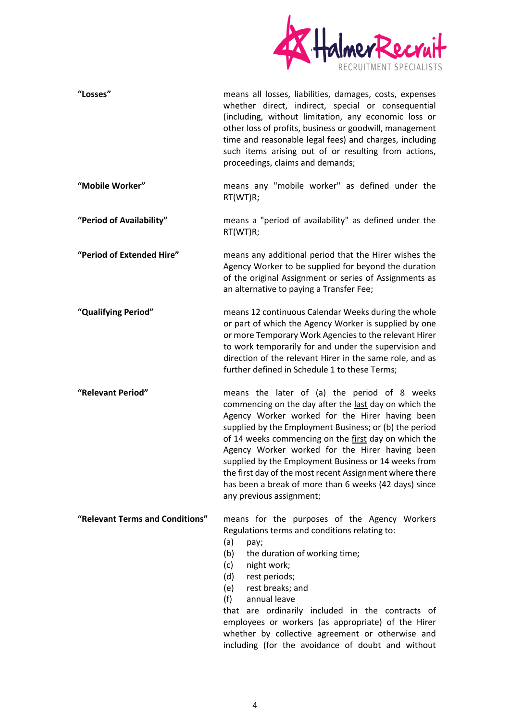

| "Losses"                        | means all losses, liabilities, damages, costs, expenses<br>whether direct, indirect, special or consequential<br>(including, without limitation, any economic loss or<br>other loss of profits, business or goodwill, management<br>time and reasonable legal fees) and charges, including<br>such items arising out of or resulting from actions,<br>proceedings, claims and demands;                                                                                                                                              |
|---------------------------------|-------------------------------------------------------------------------------------------------------------------------------------------------------------------------------------------------------------------------------------------------------------------------------------------------------------------------------------------------------------------------------------------------------------------------------------------------------------------------------------------------------------------------------------|
| "Mobile Worker"                 | means any "mobile worker" as defined under the<br>RT(WT)R;                                                                                                                                                                                                                                                                                                                                                                                                                                                                          |
| "Period of Availability"        | means a "period of availability" as defined under the<br>RT(WT)R;                                                                                                                                                                                                                                                                                                                                                                                                                                                                   |
| "Period of Extended Hire"       | means any additional period that the Hirer wishes the<br>Agency Worker to be supplied for beyond the duration<br>of the original Assignment or series of Assignments as<br>an alternative to paying a Transfer Fee;                                                                                                                                                                                                                                                                                                                 |
| "Qualifying Period"             | means 12 continuous Calendar Weeks during the whole<br>or part of which the Agency Worker is supplied by one<br>or more Temporary Work Agencies to the relevant Hirer<br>to work temporarily for and under the supervision and<br>direction of the relevant Hirer in the same role, and as<br>further defined in Schedule 1 to these Terms;                                                                                                                                                                                         |
| "Relevant Period"               | means the later of (a) the period of 8 weeks<br>commencing on the day after the last day on which the<br>Agency Worker worked for the Hirer having been<br>supplied by the Employment Business; or (b) the period<br>of 14 weeks commencing on the first day on which the<br>Agency Worker worked for the Hirer having been<br>supplied by the Employment Business or 14 weeks from<br>the first day of the most recent Assignment where there<br>has been a break of more than 6 weeks (42 days) since<br>any previous assignment; |
| "Relevant Terms and Conditions" | means for the purposes of the Agency Workers<br>Regulations terms and conditions relating to:<br>(a)<br>pay;<br>(b)<br>the duration of working time;<br>(c)<br>night work;<br>(d)<br>rest periods;<br>rest breaks; and<br>(e)<br>annual leave<br>(f)                                                                                                                                                                                                                                                                                |

that are ordinarily included in the contracts of employees or workers (as appropriate) of the Hirer whether by collective agreement or otherwise and including (for the avoidance of doubt and without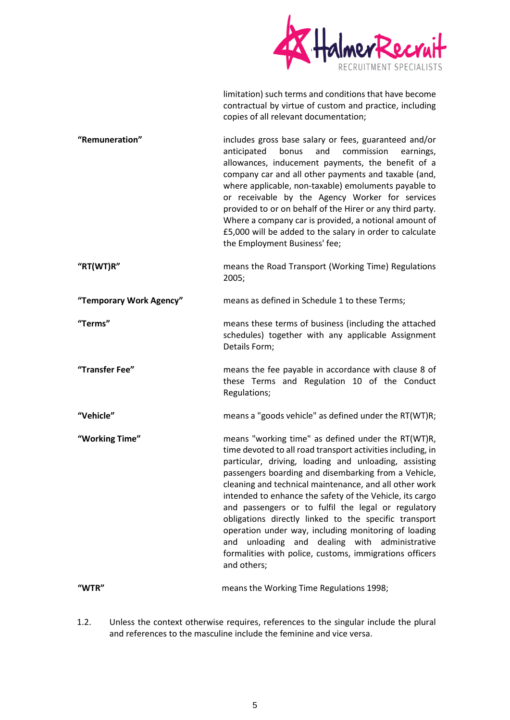

limitation) such terms and conditions that have become contractual by virtue of custom and practice, including copies of all relevant documentation;

**"Remuneration"** includes gross base salary or fees, guaranteed and/or anticipated bonus and commission earnings, allowances, inducement payments, the benefit of a company car and all other payments and taxable (and, where applicable, non-taxable) emoluments payable to or receivable by the Agency Worker for services provided to or on behalf of the Hirer or any third party. Where a company car is provided, a notional amount of £5,000 will be added to the salary in order to calculate the Employment Business' fee;

**"RT(WT)R"** means the Road Transport (Working Time) Regulations 2005;

**"Temporary Work Agency"** means as defined in Schedule 1 to these Terms;

**"Terms"** means these terms of business (including the attached schedules) together with any applicable Assignment Details Form;

**"Transfer Fee"** means the fee payable in accordance with clause 8 of these Terms and Regulation 10 of the Conduct Regulations;

- **"Vehicle"** means a "goods vehicle" as defined under the RT(WT)R;
- **"Working Time"** means "working time" as defined under the RT(WT)R, time devoted to all road transport activities including, in particular, driving, loading and unloading, assisting passengers boarding and disembarking from a Vehicle, cleaning and technical maintenance, and all other work intended to enhance the safety of the Vehicle, its cargo and passengers or to fulfil the legal or regulatory obligations directly linked to the specific transport operation under way, including monitoring of loading and unloading and dealing with administrative formalities with police, customs, immigrations officers and others;

**"WTR"** means the Working Time Regulations 1998;

1.2. Unless the context otherwise requires, references to the singular include the plural and references to the masculine include the feminine and vice versa.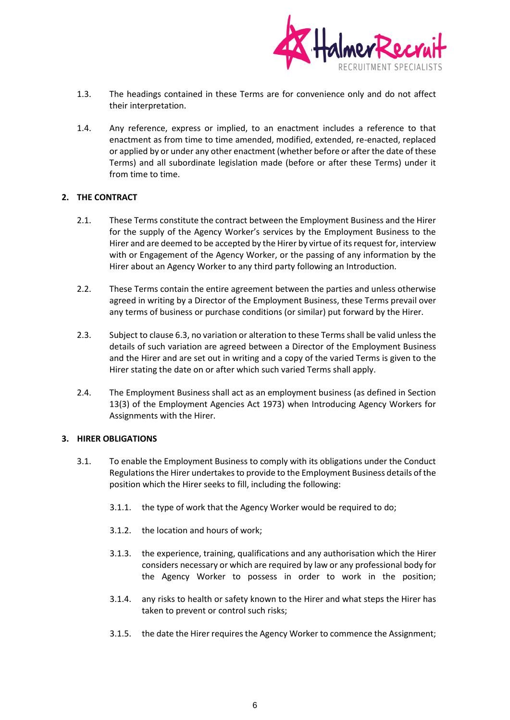

- 1.3. The headings contained in these Terms are for convenience only and do not affect their interpretation.
- 1.4. Any reference, express or implied, to an enactment includes a reference to that enactment as from time to time amended, modified, extended, re-enacted, replaced or applied by or under any other enactment (whether before or after the date of these Terms) and all subordinate legislation made (before or after these Terms) under it from time to time.

#### **2. THE CONTRACT**

- 2.1. These Terms constitute the contract between the Employment Business and the Hirer for the supply of the Agency Worker's services by the Employment Business to the Hirer and are deemed to be accepted by the Hirer by virtue of its request for, interview with or Engagement of the Agency Worker, or the passing of any information by the Hirer about an Agency Worker to any third party following an Introduction.
- 2.2. These Terms contain the entire agreement between the parties and unless otherwise agreed in writing by a Director of the Employment Business, these Terms prevail over any terms of business or purchase conditions (or similar) put forward by the Hirer.
- 2.3. Subject to clause 6.3, no variation or alteration to these Terms shall be valid unless the details of such variation are agreed between a Director of the Employment Business and the Hirer and are set out in writing and a copy of the varied Terms is given to the Hirer stating the date on or after which such varied Terms shall apply.
- 2.4. The Employment Business shall act as an employment business (as defined in Section 13(3) of the Employment Agencies Act 1973) when Introducing Agency Workers for Assignments with the Hirer.

#### **3. HIRER OBLIGATIONS**

- 3.1. To enable the Employment Business to comply with its obligations under the Conduct Regulations the Hirer undertakes to provide to the Employment Business details of the position which the Hirer seeks to fill, including the following:
	- 3.1.1. the type of work that the Agency Worker would be required to do;
	- 3.1.2. the location and hours of work;
	- 3.1.3. the experience, training, qualifications and any authorisation which the Hirer considers necessary or which are required by law or any professional body for the Agency Worker to possess in order to work in the position;
	- 3.1.4. any risks to health or safety known to the Hirer and what steps the Hirer has taken to prevent or control such risks;
	- 3.1.5. the date the Hirer requires the Agency Worker to commence the Assignment;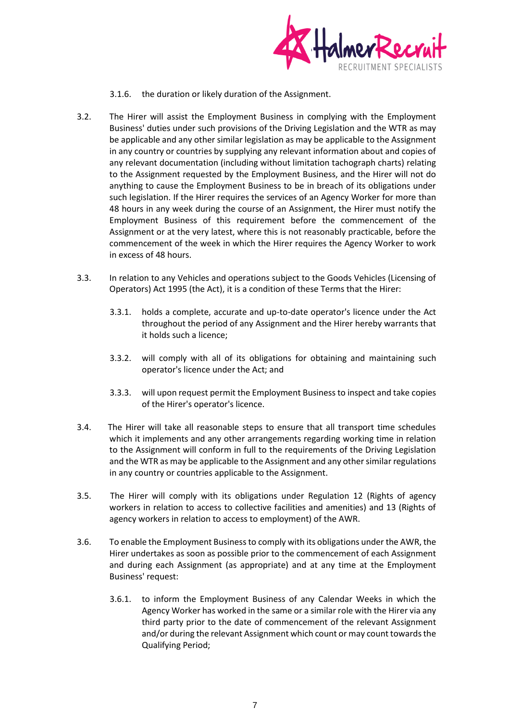

3.1.6. the duration or likely duration of the Assignment.

- 3.2. The Hirer will assist the Employment Business in complying with the Employment Business' duties under such provisions of the Driving Legislation and the WTR as may be applicable and any other similar legislation as may be applicable to the Assignment in any country or countries by supplying any relevant information about and copies of any relevant documentation (including without limitation tachograph charts) relating to the Assignment requested by the Employment Business, and the Hirer will not do anything to cause the Employment Business to be in breach of its obligations under such legislation. If the Hirer requires the services of an Agency Worker for more than 48 hours in any week during the course of an Assignment, the Hirer must notify the Employment Business of this requirement before the commencement of the Assignment or at the very latest, where this is not reasonably practicable, before the commencement of the week in which the Hirer requires the Agency Worker to work in excess of 48 hours.
- 3.3. In relation to any Vehicles and operations subject to the Goods Vehicles (Licensing of Operators) Act 1995 (the Act), it is a condition of these Terms that the Hirer:
	- 3.3.1. holds a complete, accurate and up-to-date operator's licence under the Act throughout the period of any Assignment and the Hirer hereby warrants that it holds such a licence;
	- 3.3.2. will comply with all of its obligations for obtaining and maintaining such operator's licence under the Act; and
	- 3.3.3. will upon request permit the Employment Business to inspect and take copies of the Hirer's operator's licence.
- 3.4. The Hirer will take all reasonable steps to ensure that all transport time schedules which it implements and any other arrangements regarding working time in relation to the Assignment will conform in full to the requirements of the Driving Legislation and the WTR as may be applicable to the Assignment and any other similar regulations in any country or countries applicable to the Assignment.
- 3.5. The Hirer will comply with its obligations under Regulation 12 (Rights of agency workers in relation to access to collective facilities and amenities) and 13 (Rights of agency workers in relation to access to employment) of the AWR.
- <span id="page-6-0"></span>3.6. To enable the Employment Business to comply with its obligations under the AWR, the Hirer undertakes as soon as possible prior to the commencement of each Assignment and during each Assignment (as appropriate) and at any time at the Employment Business' request:
	- 3.6.1. to inform the Employment Business of any Calendar Weeks in which the Agency Worker has worked in the same or a similar role with the Hirer via any third party prior to the date of commencement of the relevant Assignment and/or during the relevant Assignment which count or may count towards the Qualifying Period;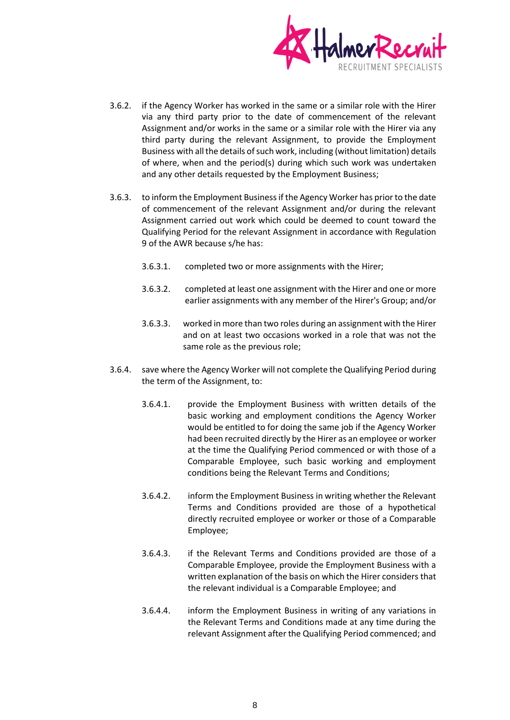

- 3.6.2. if the Agency Worker has worked in the same or a similar role with the Hirer via any third party prior to the date of commencement of the relevant Assignment and/or works in the same or a similar role with the Hirer via any third party during the relevant Assignment, to provide the Employment Business with all the details of such work, including (without limitation) details of where, when and the period(s) during which such work was undertaken and any other details requested by the Employment Business;
- 3.6.3. to inform the Employment Business if the Agency Worker has prior to the date of commencement of the relevant Assignment and/or during the relevant Assignment carried out work which could be deemed to count toward the Qualifying Period for the relevant Assignment in accordance with Regulation 9 of the AWR because s/he has:
	- 3.6.3.1. completed two or more assignments with the Hirer;
	- 3.6.3.2. completed at least one assignment with the Hirer and one or more earlier assignments with any member of the Hirer's Group; and/or
	- 3.6.3.3. worked in more than two roles during an assignment with the Hirer and on at least two occasions worked in a role that was not the same role as the previous role;
- 3.6.4. save where the Agency Worker will not complete the Qualifying Period during the term of the Assignment, to:
	- 3.6.4.1. provide the Employment Business with written details of the basic working and employment conditions the Agency Worker would be entitled to for doing the same job if the Agency Worker had been recruited directly by the Hirer as an employee or worker at the time the Qualifying Period commenced or with those of a Comparable Employee, such basic working and employment conditions being the Relevant Terms and Conditions;
	- 3.6.4.2. inform the Employment Business in writing whether the Relevant Terms and Conditions provided are those of a hypothetical directly recruited employee or worker or those of a Comparable Employee;
	- 3.6.4.3. if the Relevant Terms and Conditions provided are those of a Comparable Employee, provide the Employment Business with a written explanation of the basis on which the Hirer considers that the relevant individual is a Comparable Employee; and
	- 3.6.4.4. inform the Employment Business in writing of any variations in the Relevant Terms and Conditions made at any time during the relevant Assignment after the Qualifying Period commenced; and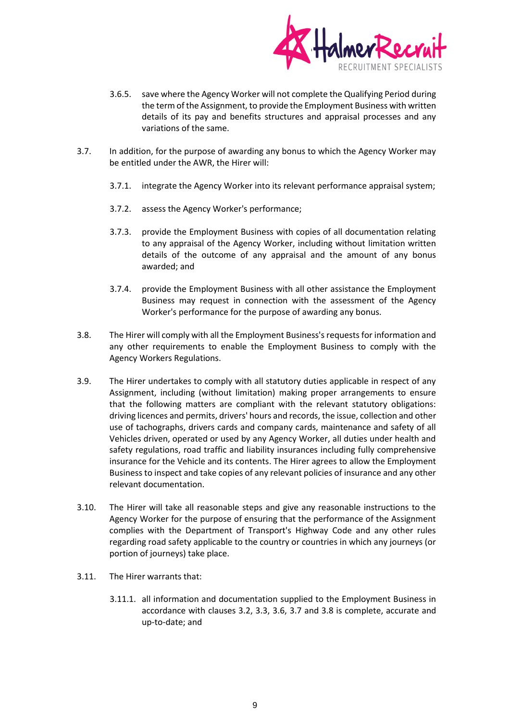

- 3.6.5. save where the Agency Worker will not complete the Qualifying Period during the term of the Assignment, to provide the Employment Business with written details of its pay and benefits structures and appraisal processes and any variations of the same.
- <span id="page-8-0"></span>3.7. In addition, for the purpose of awarding any bonus to which the Agency Worker may be entitled under the AWR, the Hirer will:
	- 3.7.1. integrate the Agency Worker into its relevant performance appraisal system;
	- 3.7.2. assess the Agency Worker's performance;
	- 3.7.3. provide the Employment Business with copies of all documentation relating to any appraisal of the Agency Worker, including without limitation written details of the outcome of any appraisal and the amount of any bonus awarded; and
	- 3.7.4. provide the Employment Business with all other assistance the Employment Business may request in connection with the assessment of the Agency Worker's performance for the purpose of awarding any bonus.
- <span id="page-8-1"></span>3.8. The Hirer will comply with all the Employment Business's requests for information and any other requirements to enable the Employment Business to comply with the Agency Workers Regulations.
- 3.9. The Hirer undertakes to comply with all statutory duties applicable in respect of any Assignment, including (without limitation) making proper arrangements to ensure that the following matters are compliant with the relevant statutory obligations: driving licences and permits, drivers' hours and records, the issue, collection and other use of tachographs, drivers cards and company cards, maintenance and safety of all Vehicles driven, operated or used by any Agency Worker, all duties under health and safety regulations, road traffic and liability insurances including fully comprehensive insurance for the Vehicle and its contents. The Hirer agrees to allow the Employment Business to inspect and take copies of any relevant policies of insurance and any other relevant documentation.
- 3.10. The Hirer will take all reasonable steps and give any reasonable instructions to the Agency Worker for the purpose of ensuring that the performance of the Assignment complies with the Department of Transport's Highway Code and any other rules regarding road safety applicable to the country or countries in which any journeys (or portion of journeys) take place.
- 3.11. The Hirer warrants that:
	- 3.11.1. all information and documentation supplied to the Employment Business in accordance with clauses 3.2, 3.3, [3.6,](#page-6-0) [3.7](#page-8-0) and [3.8](#page-8-1) is complete, accurate and up-to-date; and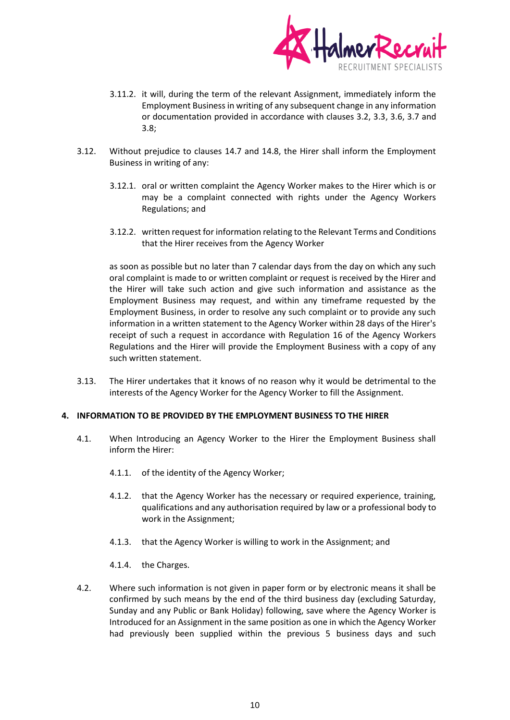

- 3.11.2. it will, during the term of the relevant Assignment, immediately inform the Employment Business in writing of any subsequent change in any information or documentation provided in accordance with clauses 3.2, 3.3, [3.6,](#page-6-0) [3.7](#page-8-0) and [3.8;](#page-8-1)
- 3.12. Without prejudice to clauses 14.7 and 14.8, the Hirer shall inform the Employment Business in writing of any:
	- 3.12.1. oral or written complaint the Agency Worker makes to the Hirer which is or may be a complaint connected with rights under the Agency Workers Regulations; and
	- 3.12.2. written request for information relating to the Relevant Terms and Conditions that the Hirer receives from the Agency Worker

as soon as possible but no later than 7 calendar days from the day on which any such oral complaint is made to or written complaint or request is received by the Hirer and the Hirer will take such action and give such information and assistance as the Employment Business may request, and within any timeframe requested by the Employment Business, in order to resolve any such complaint or to provide any such information in a written statement to the Agency Worker within 28 days of the Hirer's receipt of such a request in accordance with Regulation 16 of the Agency Workers Regulations and the Hirer will provide the Employment Business with a copy of any such written statement.

3.13. The Hirer undertakes that it knows of no reason why it would be detrimental to the interests of the Agency Worker for the Agency Worker to fill the Assignment.

#### **4. INFORMATION TO BE PROVIDED BY THE EMPLOYMENT BUSINESS TO THE HIRER**

- 4.1. When Introducing an Agency Worker to the Hirer the Employment Business shall inform the Hirer:
	- 4.1.1. of the identity of the Agency Worker;
	- 4.1.2. that the Agency Worker has the necessary or required experience, training, qualifications and any authorisation required by law or a professional body to work in the Assignment;
	- 4.1.3. that the Agency Worker is willing to work in the Assignment; and
	- 4.1.4. the Charges.
- 4.2. Where such information is not given in paper form or by electronic means it shall be confirmed by such means by the end of the third business day (excluding Saturday, Sunday and any Public or Bank Holiday) following, save where the Agency Worker is Introduced for an Assignment in the same position as one in which the Agency Worker had previously been supplied within the previous 5 business days and such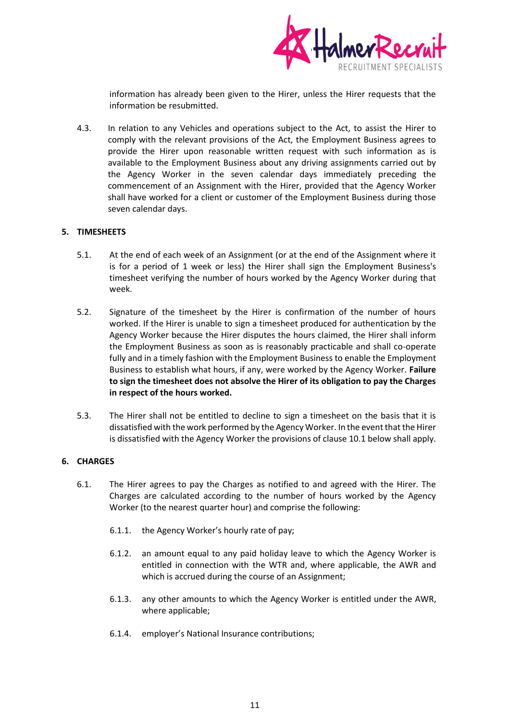

information has already been given to the Hirer, unless the Hirer requests that the information be resubmitted.

4.3. In relation to any Vehicles and operations subject to the Act, to assist the Hirer to comply with the relevant provisions of the Act, the Employment Business agrees to provide the Hirer upon reasonable written request with such information as is available to the Employment Business about any driving assignments carried out by the Agency Worker in the seven calendar days immediately preceding the commencement of an Assignment with the Hirer, provided that the Agency Worker shall have worked for a client or customer of the Employment Business during those seven calendar days.

#### **5. TIMESHEETS**

- 5.1. At the end of each week of an Assignment (or at the end of the Assignment where it is for a period of 1 week or less) the Hirer shall sign the Employment Business's timesheet verifying the number of hours worked by the Agency Worker during that week.
- 5.2. Signature of the timesheet by the Hirer is confirmation of the number of hours worked. If the Hirer is unable to sign a timesheet produced for authentication by the Agency Worker because the Hirer disputes the hours claimed, the Hirer shall inform the Employment Business as soon as is reasonably practicable and shall co-operate fully and in a timely fashion with the Employment Business to enable the Employment Business to establish what hours, if any, were worked by the Agency Worker. **Failure to sign the timesheet does not absolve the Hirer of its obligation to pay the Charges in respect of the hours worked.**
- 5.3. The Hirer shall not be entitled to decline to sign a timesheet on the basis that it is dissatisfied with the work performed by the Agency Worker. In the event that the Hirer is dissatisfied with the Agency Worker the provisions of clause 10.1 below shall apply.

#### **6. CHARGES**

- 6.1. The Hirer agrees to pay the Charges as notified to and agreed with the Hirer. The Charges are calculated according to the number of hours worked by the Agency Worker (to the nearest quarter hour) and comprise the following:
	- 6.1.1. the Agency Worker's hourly rate of pay;
	- 6.1.2. an amount equal to any paid holiday leave to which the Agency Worker is entitled in connection with the WTR and, where applicable, the AWR and which is accrued during the course of an Assignment;
	- 6.1.3. any other amounts to which the Agency Worker is entitled under the AWR, where applicable;
	- 6.1.4. employer's National Insurance contributions;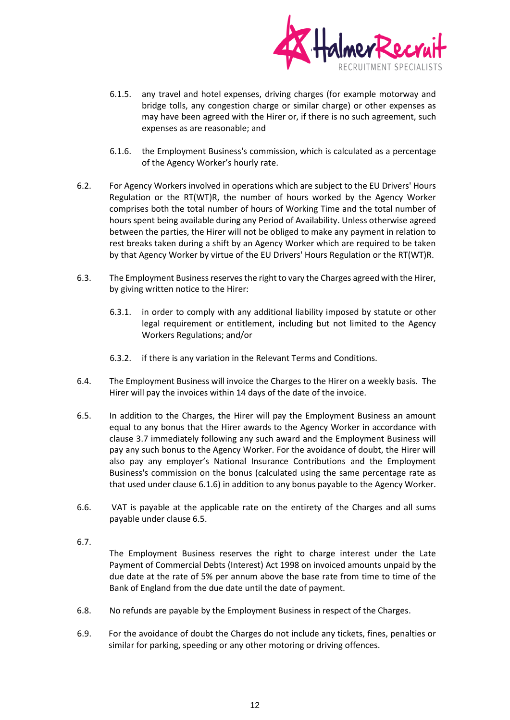

- 6.1.5. any travel and hotel expenses, driving charges (for example motorway and bridge tolls, any congestion charge or similar charge) or other expenses as may have been agreed with the Hirer or, if there is no such agreement, such expenses as are reasonable; and
- 6.1.6. the Employment Business's commission, which is calculated as a percentage of the Agency Worker's hourly rate.
- 6.2. For Agency Workers involved in operations which are subject to the EU Drivers' Hours Regulation or the RT(WT)R, the number of hours worked by the Agency Worker comprises both the total number of hours of Working Time and the total number of hours spent being available during any Period of Availability. Unless otherwise agreed between the parties, the Hirer will not be obliged to make any payment in relation to rest breaks taken during a shift by an Agency Worker which are required to be taken by that Agency Worker by virtue of the EU Drivers' Hours Regulation or the RT(WT)R.
- 6.3. The Employment Business reserves the right to vary the Charges agreed with the Hirer, by giving written notice to the Hirer:
	- 6.3.1. in order to comply with any additional liability imposed by statute or other legal requirement or entitlement, including but not limited to the Agency Workers Regulations; and/or
	- 6.3.2. if there is any variation in the Relevant Terms and Conditions.
- 6.4. The Employment Business will invoice the Charges to the Hirer on a weekly basis. The Hirer will pay the invoices within 14 days of the date of the invoice.
- 6.5. In addition to the Charges, the Hirer will pay the Employment Business an amount equal to any bonus that the Hirer awards to the Agency Worker in accordance with clause 3.7 immediately following any such award and the Employment Business will pay any such bonus to the Agency Worker. For the avoidance of doubt, the Hirer will also pay any employer's National Insurance Contributions and the Employment Business's commission on the bonus (calculated using the same percentage rate as that used under clause 6.1.6) in addition to any bonus payable to the Agency Worker.
- 6.6. VAT is payable at the applicable rate on the entirety of the Charges and all sums payable under clause 6.5.
- 6.7.

The Employment Business reserves the right to charge interest under the Late Payment of Commercial Debts (Interest) Act 1998 on invoiced amounts unpaid by the due date at the rate of 5% per annum above the base rate from time to time of the Bank of England from the due date until the date of payment.

- 6.8. No refunds are payable by the Employment Business in respect of the Charges.
- 6.9. For the avoidance of doubt the Charges do not include any tickets, fines, penalties or similar for parking, speeding or any other motoring or driving offences.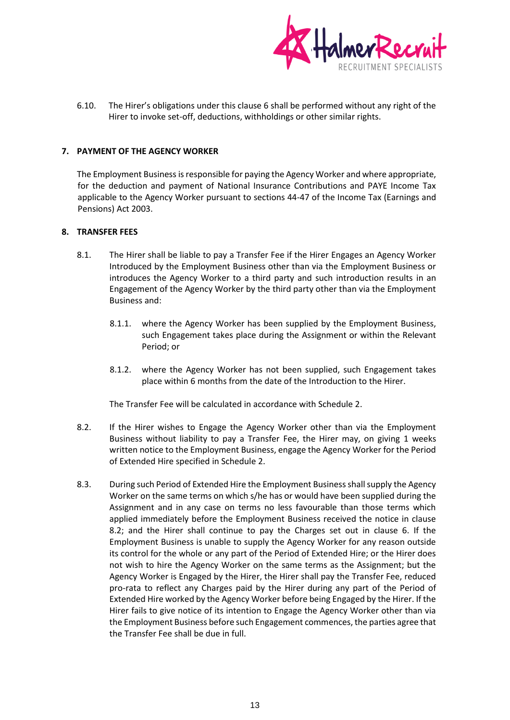

6.10. The Hirer's obligations under this clause 6 shall be performed without any right of the Hirer to invoke set-off, deductions, withholdings or other similar rights.

## **7. PAYMENT OF THE AGENCY WORKER**

The Employment Business is responsible for paying the Agency Worker and where appropriate, for the deduction and payment of National Insurance Contributions and PAYE Income Tax applicable to the Agency Worker pursuant to sections 44-47 of the Income Tax (Earnings and Pensions) Act 2003.

#### **8. TRANSFER FEES**

- 8.1. The Hirer shall be liable to pay a Transfer Fee if the Hirer Engages an Agency Worker Introduced by the Employment Business other than via the Employment Business or introduces the Agency Worker to a third party and such introduction results in an Engagement of the Agency Worker by the third party other than via the Employment Business and:
	- 8.1.1. where the Agency Worker has been supplied by the Employment Business, such Engagement takes place during the Assignment or within the Relevant Period; or
	- 8.1.2. where the Agency Worker has not been supplied, such Engagement takes place within 6 months from the date of the Introduction to the Hirer.

The Transfer Fee will be calculated in accordance with Schedule 2.

- 8.2. If the Hirer wishes to Engage the Agency Worker other than via the Employment Business without liability to pay a Transfer Fee, the Hirer may, on giving 1 weeks written notice to the Employment Business, engage the Agency Worker for the Period of Extended Hire specified in Schedule 2.
- 8.3. During such Period of Extended Hire the Employment Business shall supply the Agency Worker on the same terms on which s/he has or would have been supplied during the Assignment and in any case on terms no less favourable than those terms which applied immediately before the Employment Business received the notice in clause 8.2; and the Hirer shall continue to pay the Charges set out in clause 6. If the Employment Business is unable to supply the Agency Worker for any reason outside its control for the whole or any part of the Period of Extended Hire; or the Hirer does not wish to hire the Agency Worker on the same terms as the Assignment; but the Agency Worker is Engaged by the Hirer, the Hirer shall pay the Transfer Fee, reduced pro-rata to reflect any Charges paid by the Hirer during any part of the Period of Extended Hire worked by the Agency Worker before being Engaged by the Hirer. If the Hirer fails to give notice of its intention to Engage the Agency Worker other than via the Employment Business before such Engagement commences, the parties agree that the Transfer Fee shall be due in full.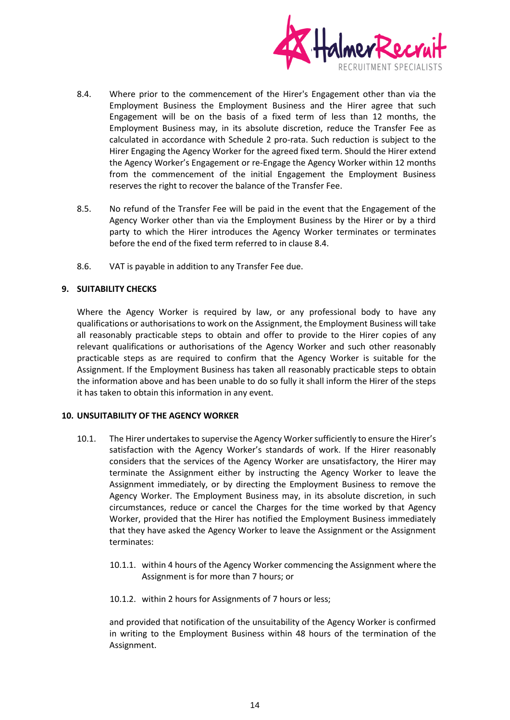

- 8.4. Where prior to the commencement of the Hirer's Engagement other than via the Employment Business the Employment Business and the Hirer agree that such Engagement will be on the basis of a fixed term of less than 12 months, the Employment Business may, in its absolute discretion, reduce the Transfer Fee as calculated in accordance with Schedule 2 pro-rata. Such reduction is subject to the Hirer Engaging the Agency Worker for the agreed fixed term. Should the Hirer extend the Agency Worker's Engagement or re-Engage the Agency Worker within 12 months from the commencement of the initial Engagement the Employment Business reserves the right to recover the balance of the Transfer Fee.
- 8.5. No refund of the Transfer Fee will be paid in the event that the Engagement of the Agency Worker other than via the Employment Business by the Hirer or by a third party to which the Hirer introduces the Agency Worker terminates or terminates before the end of the fixed term referred to in clause 8.4.
- 8.6. VAT is payable in addition to any Transfer Fee due.

# **9. SUITABILITY CHECKS**

Where the Agency Worker is required by law, or any professional body to have any qualifications or authorisations to work on the Assignment, the Employment Business will take all reasonably practicable steps to obtain and offer to provide to the Hirer copies of any relevant qualifications or authorisations of the Agency Worker and such other reasonably practicable steps as are required to confirm that the Agency Worker is suitable for the Assignment. If the Employment Business has taken all reasonably practicable steps to obtain the information above and has been unable to do so fully it shall inform the Hirer of the steps it has taken to obtain this information in any event.

#### **10. UNSUITABILITY OF THE AGENCY WORKER**

- 10.1. The Hirer undertakes to supervise the Agency Worker sufficiently to ensure the Hirer's satisfaction with the Agency Worker's standards of work. If the Hirer reasonably considers that the services of the Agency Worker are unsatisfactory, the Hirer may terminate the Assignment either by instructing the Agency Worker to leave the Assignment immediately, or by directing the Employment Business to remove the Agency Worker. The Employment Business may, in its absolute discretion, in such circumstances, reduce or cancel the Charges for the time worked by that Agency Worker, provided that the Hirer has notified the Employment Business immediately that they have asked the Agency Worker to leave the Assignment or the Assignment terminates:
	- 10.1.1. within 4 hours of the Agency Worker commencing the Assignment where the Assignment is for more than 7 hours; or
	- 10.1.2. within 2 hours for Assignments of 7 hours or less;

and provided that notification of the unsuitability of the Agency Worker is confirmed in writing to the Employment Business within 48 hours of the termination of the Assignment.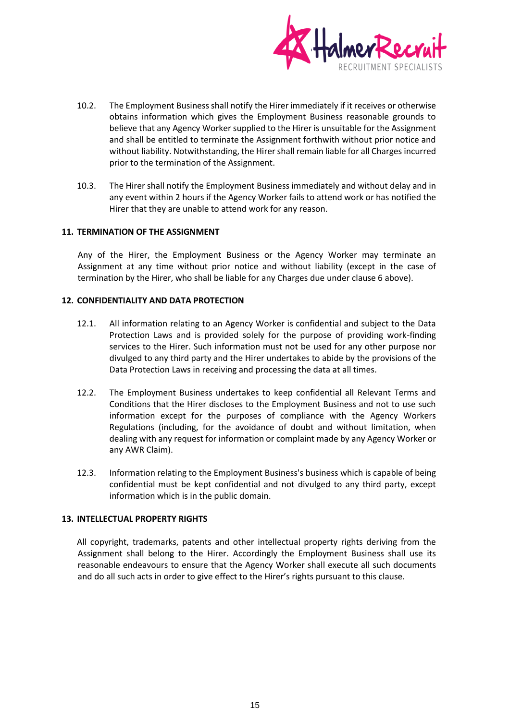

- 10.2. The Employment Business shall notify the Hirer immediately if it receives or otherwise obtains information which gives the Employment Business reasonable grounds to believe that any Agency Worker supplied to the Hirer is unsuitable for the Assignment and shall be entitled to terminate the Assignment forthwith without prior notice and without liability. Notwithstanding, the Hirer shall remain liable for all Charges incurred prior to the termination of the Assignment.
- 10.3. The Hirer shall notify the Employment Business immediately and without delay and in any event within 2 hours if the Agency Worker fails to attend work or has notified the Hirer that they are unable to attend work for any reason.

#### **11. TERMINATION OF THE ASSIGNMENT**

Any of the Hirer, the Employment Business or the Agency Worker may terminate an Assignment at any time without prior notice and without liability (except in the case of termination by the Hirer, who shall be liable for any Charges due under clause 6 above).

#### **12. CONFIDENTIALITY AND DATA PROTECTION**

- 12.1. All information relating to an Agency Worker is confidential and subject to the Data Protection Laws and is provided solely for the purpose of providing work-finding services to the Hirer. Such information must not be used for any other purpose nor divulged to any third party and the Hirer undertakes to abide by the provisions of the Data Protection Laws in receiving and processing the data at all times.
- 12.2. The Employment Business undertakes to keep confidential all Relevant Terms and Conditions that the Hirer discloses to the Employment Business and not to use such information except for the purposes of compliance with the Agency Workers Regulations (including, for the avoidance of doubt and without limitation, when dealing with any request for information or complaint made by any Agency Worker or any AWR Claim).
- 12.3. Information relating to the Employment Business's business which is capable of being confidential must be kept confidential and not divulged to any third party, except information which is in the public domain.

## **13. INTELLECTUAL PROPERTY RIGHTS**

All copyright, trademarks, patents and other intellectual property rights deriving from the Assignment shall belong to the Hirer. Accordingly the Employment Business shall use its reasonable endeavours to ensure that the Agency Worker shall execute all such documents and do all such acts in order to give effect to the Hirer's rights pursuant to this clause.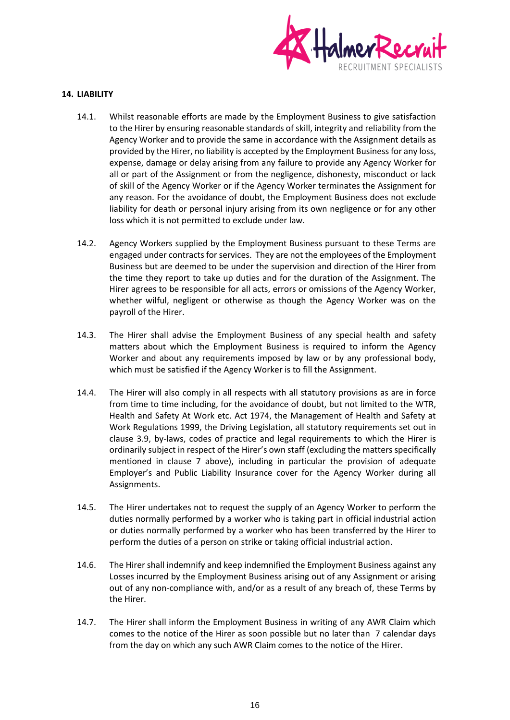

## **14. LIABILITY**

- 14.1. Whilst reasonable efforts are made by the Employment Business to give satisfaction to the Hirer by ensuring reasonable standards of skill, integrity and reliability from the Agency Worker and to provide the same in accordance with the Assignment details as provided by the Hirer, no liability is accepted by the Employment Business for any loss, expense, damage or delay arising from any failure to provide any Agency Worker for all or part of the Assignment or from the negligence, dishonesty, misconduct or lack of skill of the Agency Worker or if the Agency Worker terminates the Assignment for any reason. For the avoidance of doubt, the Employment Business does not exclude liability for death or personal injury arising from its own negligence or for any other loss which it is not permitted to exclude under law.
- 14.2. Agency Workers supplied by the Employment Business pursuant to these Terms are engaged under contracts for services. They are not the employees of the Employment Business but are deemed to be under the supervision and direction of the Hirer from the time they report to take up duties and for the duration of the Assignment. The Hirer agrees to be responsible for all acts, errors or omissions of the Agency Worker, whether wilful, negligent or otherwise as though the Agency Worker was on the payroll of the Hirer.
- 14.3. The Hirer shall advise the Employment Business of any special health and safety matters about which the Employment Business is required to inform the Agency Worker and about any requirements imposed by law or by any professional body, which must be satisfied if the Agency Worker is to fill the Assignment.
- 14.4. The Hirer will also comply in all respects with all statutory provisions as are in force from time to time including, for the avoidance of doubt, but not limited to the WTR, Health and Safety At Work etc. Act 1974, the Management of Health and Safety at Work Regulations 1999, the Driving Legislation, all statutory requirements set out in clause 3.9, by-laws, codes of practice and legal requirements to which the Hirer is ordinarily subject in respect of the Hirer's own staff (excluding the matters specifically mentioned in clause 7 above), including in particular the provision of adequate Employer's and Public Liability Insurance cover for the Agency Worker during all Assignments.
- 14.5. The Hirer undertakes not to request the supply of an Agency Worker to perform the duties normally performed by a worker who is taking part in official industrial action or duties normally performed by a worker who has been transferred by the Hirer to perform the duties of a person on strike or taking official industrial action.
- 14.6. The Hirer shall indemnify and keep indemnified the Employment Business against any Losses incurred by the Employment Business arising out of any Assignment or arising out of any non-compliance with, and/or as a result of any breach of, these Terms by the Hirer.
- 14.7. The Hirer shall inform the Employment Business in writing of any AWR Claim which comes to the notice of the Hirer as soon possible but no later than 7 calendar days from the day on which any such AWR Claim comes to the notice of the Hirer.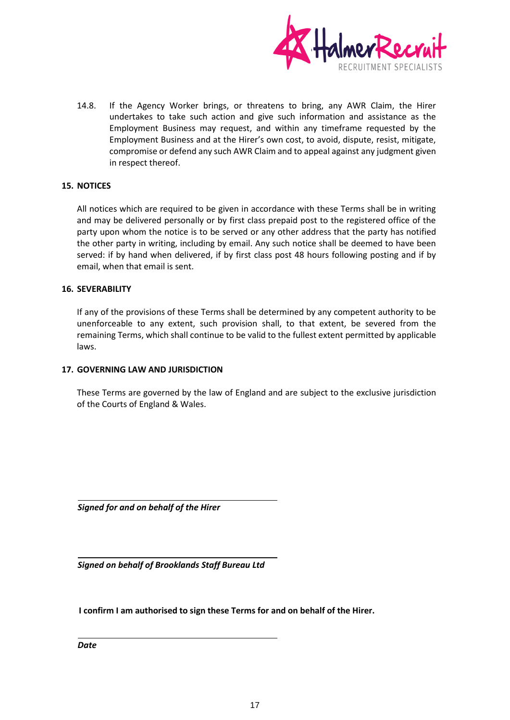

14.8. If the Agency Worker brings, or threatens to bring, any AWR Claim, the Hirer undertakes to take such action and give such information and assistance as the Employment Business may request, and within any timeframe requested by the Employment Business and at the Hirer's own cost, to avoid, dispute, resist, mitigate, compromise or defend any such AWR Claim and to appeal against any judgment given in respect thereof.

# **15. NOTICES**

All notices which are required to be given in accordance with these Terms shall be in writing and may be delivered personally or by first class prepaid post to the registered office of the party upon whom the notice is to be served or any other address that the party has notified the other party in writing, including by email. Any such notice shall be deemed to have been served: if by hand when delivered, if by first class post 48 hours following posting and if by email, when that email is sent.

#### **16. SEVERABILITY**

If any of the provisions of these Terms shall be determined by any competent authority to be unenforceable to any extent, such provision shall, to that extent, be severed from the remaining Terms, which shall continue to be valid to the fullest extent permitted by applicable laws.

#### **17. GOVERNING LAW AND JURISDICTION**

These Terms are governed by the law of England and are subject to the exclusive jurisdiction of the Courts of England & Wales.

*Signed for and on behalf of the Hirer*

*Signed on behalf of Brooklands Staff Bureau Ltd*

**I confirm I am authorised to sign these Terms for and on behalf of the Hirer.** 

*Date*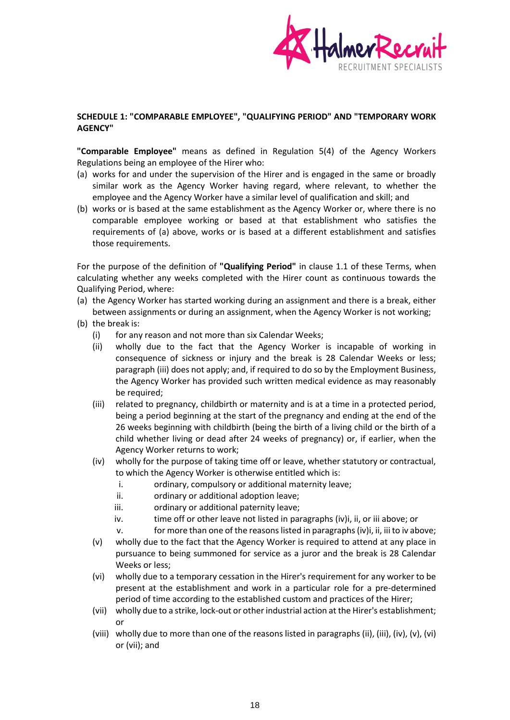

# **SCHEDULE 1: "COMPARABLE EMPLOYEE", "QUALIFYING PERIOD" AND "TEMPORARY WORK AGENCY"**

**"Comparable Employee"** means as defined in Regulation 5(4) of the Agency Workers Regulations being an employee of the Hirer who:

- (a) works for and under the supervision of the Hirer and is engaged in the same or broadly similar work as the Agency Worker having regard, where relevant, to whether the employee and the Agency Worker have a similar level of qualification and skill; and
- (b) works or is based at the same establishment as the Agency Worker or, where there is no comparable employee working or based at that establishment who satisfies the requirements of (a) above, works or is based at a different establishment and satisfies those requirements.

For the purpose of the definition of **"Qualifying Period"** in clause 1.1 of these Terms, when calculating whether any weeks completed with the Hirer count as continuous towards the Qualifying Period, where:

- (a) the Agency Worker has started working during an assignment and there is a break, either between assignments or during an assignment, when the Agency Worker is not working;
- (b) the break is:
	- (i) for any reason and not more than six Calendar Weeks;
	- (ii) wholly due to the fact that the Agency Worker is incapable of working in consequence of sickness or injury and the break is 28 Calendar Weeks or less; paragraph (iii) does not apply; and, if required to do so by the Employment Business, the Agency Worker has provided such written medical evidence as may reasonably be required;
	- (iii) related to pregnancy, childbirth or maternity and is at a time in a protected period, being a period beginning at the start of the pregnancy and ending at the end of the 26 weeks beginning with childbirth (being the birth of a living child or the birth of a child whether living or dead after 24 weeks of pregnancy) or, if earlier, when the Agency Worker returns to work;
	- (iv) wholly for the purpose of taking time off or leave, whether statutory or contractual, to which the Agency Worker is otherwise entitled which is:
		- i. ordinary, compulsory or additional maternity leave;
		- ii. ordinary or additional adoption leave;
		- iii. ordinary or additional paternity leave;
		- iv. time off or other leave not listed in paragraphs (iv)i, ii, or iii above; or

 $v.$  for more than one of the reasons listed in paragraphs (iv)i, ii, iii to iv above;

- (v) wholly due to the fact that the Agency Worker is required to attend at any place in pursuance to being summoned for service as a juror and the break is 28 Calendar Weeks or less;
- (vi) wholly due to a temporary cessation in the Hirer's requirement for any worker to be present at the establishment and work in a particular role for a pre-determined period of time according to the established custom and practices of the Hirer;
- (vii) wholly due to a strike, lock-out or other industrial action at the Hirer's establishment; or
- (viii) wholly due to more than one of the reasons listed in paragraphs (ii), (iii), (iv), (v), (vi) or (vii); and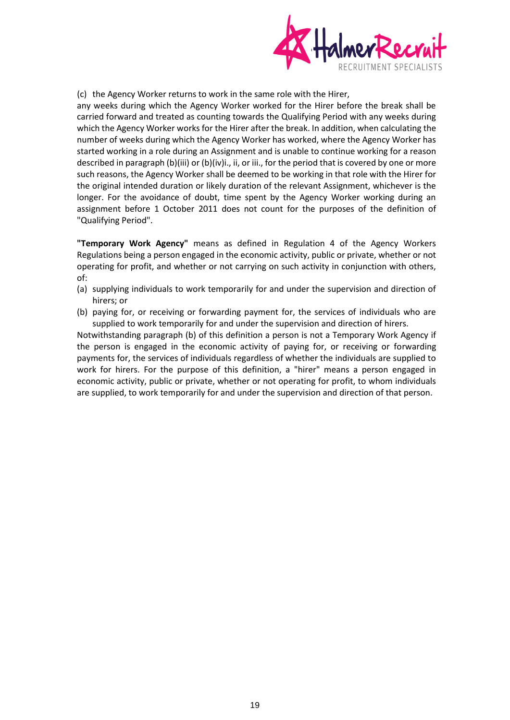

(c) the Agency Worker returns to work in the same role with the Hirer,

any weeks during which the Agency Worker worked for the Hirer before the break shall be carried forward and treated as counting towards the Qualifying Period with any weeks during which the Agency Worker works for the Hirer after the break. In addition, when calculating the number of weeks during which the Agency Worker has worked, where the Agency Worker has started working in a role during an Assignment and is unable to continue working for a reason described in paragraph (b)(iii) or (b)(iv)i., ii, or iii., for the period that is covered by one or more such reasons, the Agency Worker shall be deemed to be working in that role with the Hirer for the original intended duration or likely duration of the relevant Assignment, whichever is the longer. For the avoidance of doubt, time spent by the Agency Worker working during an assignment before 1 October 2011 does not count for the purposes of the definition of "Qualifying Period".

**"Temporary Work Agency"** means as defined in Regulation 4 of the Agency Workers Regulations being a person engaged in the economic activity, public or private, whether or not operating for profit, and whether or not carrying on such activity in conjunction with others, of:

- (a) supplying individuals to work temporarily for and under the supervision and direction of hirers; or
- (b) paying for, or receiving or forwarding payment for, the services of individuals who are supplied to work temporarily for and under the supervision and direction of hirers.

Notwithstanding paragraph (b) of this definition a person is not a Temporary Work Agency if the person is engaged in the economic activity of paying for, or receiving or forwarding payments for, the services of individuals regardless of whether the individuals are supplied to work for hirers. For the purpose of this definition, a "hirer" means a person engaged in economic activity, public or private, whether or not operating for profit, to whom individuals are supplied, to work temporarily for and under the supervision and direction of that person.